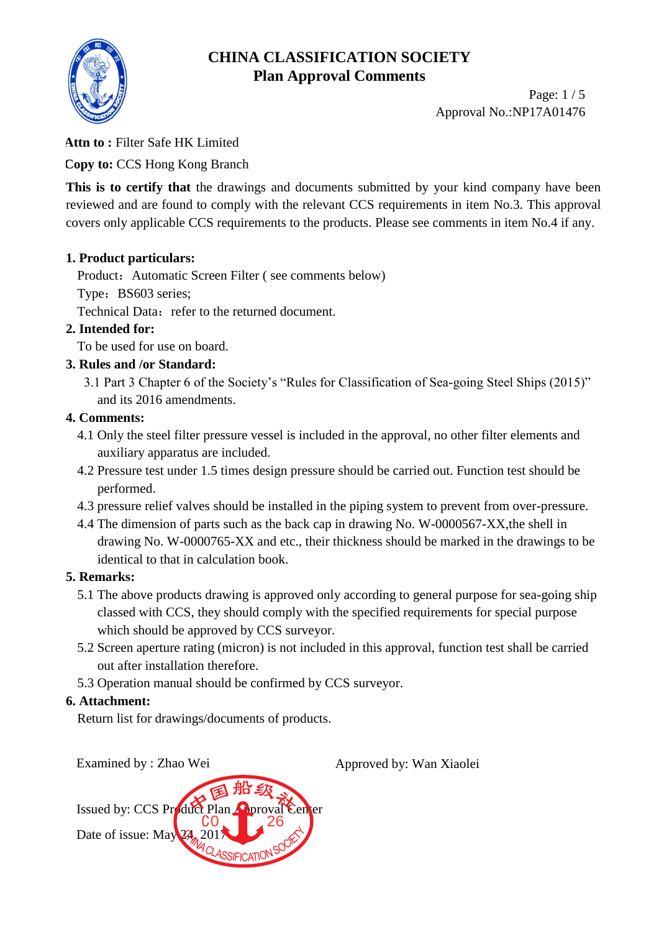

Page: 1 / 5 Approval No.:NP17A01476

#### **Attn to :** Filter Safe HK Limited

**Copy to:** CCS Hong Kong Branch

This is to certify that the drawings and documents submitted by your kind company have been reviewed and are found to comply with the relevant CCS requirements in item No.3. This approval covers only applicable CCS requirements to the products. Please see comments in item No.4 if any.

### **1. Product particulars:**

Product: Automatic Screen Filter (see comments below)

Type: BS603 series;

Technical Data: refer to the returned document.

### **2. Intended for:**

To be used for use on board.

### **3. Rules and /or Standard:**

3.1 Part 3 Chapter 6 of the Society's "Rules for Classification of Sea-going Steel Ships (2015)" and its 2016 amendments.

### **4. Comments:**

- 4.1 Only the steel filter pressure vessel is included in the approval, no other filter elements and auxiliary apparatus are included.
- 4.2 Pressure test under 1.5 times design pressure should be carried out. Function test should be performed.
- 4.3 pressure relief valves should be installed in the piping system to prevent from over-pressure.
- 4.4 The dimension of parts such as the back cap in drawing No. W-0000567-XX,the shell in drawing No. W-0000765-XX and etc., their thickness should be marked in the drawings to be identical to that in calculation book.

#### **5. Remarks:**

- 5.1 The above products drawing is approved only according to general purpose for sea-going ship classed with CCS, they should comply with the specified requirements for special purpose which should be approved by CCS surveyor.
- 5.2 Screen aperture rating (micron) is not included in this approval, function test shall be carried out after installation therefore.
- 5.3 Operation manual should be confirmed by CCS surveyor.

#### **6. Attachment:**

Return list for drawings/documents of products.

Issued by: CCS Product Plan Approval Center Date of issue: May 24, 20 CA<sub>MA</sub> 2011 2006 CO 26

Examined by : Zhao Wei Approved by: Wan Xiaolei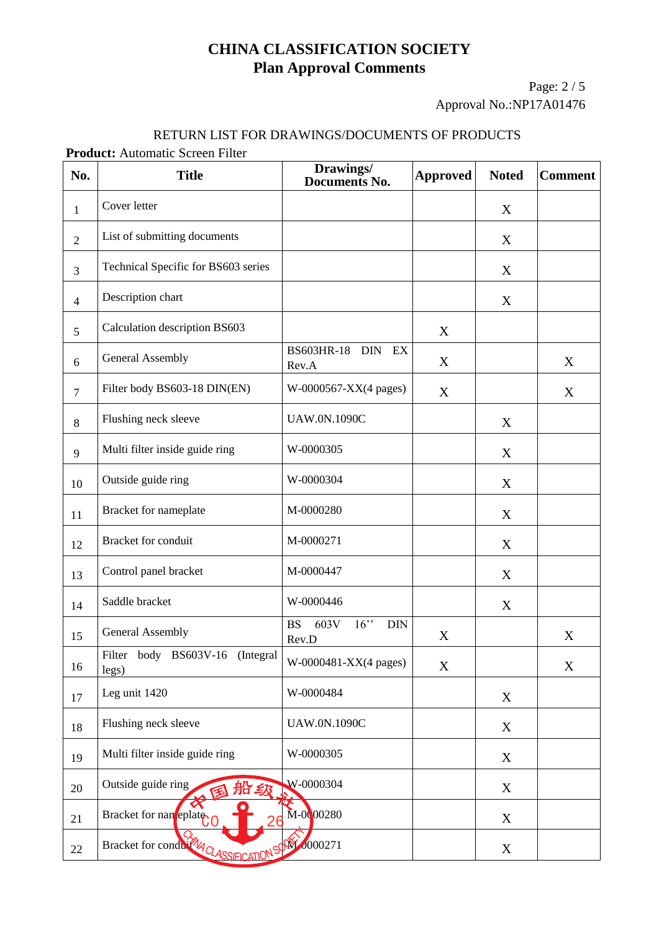Page: 2 / 5 Approval No.:NP17A01476

#### RETURN LIST FOR DRAWINGS/DOCUMENTS OF PRODUCTS

**Product:** Automatic Screen Filter

| No.            | <b>Title</b>                                                | Drawings/<br><b>Documents No.</b>                  | <b>Approved</b> | <b>Noted</b> | <b>Comment</b> |
|----------------|-------------------------------------------------------------|----------------------------------------------------|-----------------|--------------|----------------|
| $\mathbf{1}$   | Cover letter                                                |                                                    |                 | X            |                |
| $\overline{2}$ | List of submitting documents                                |                                                    |                 | $\mathbf X$  |                |
| $\overline{3}$ | Technical Specific for BS603 series                         |                                                    |                 | X            |                |
| $\overline{4}$ | Description chart                                           |                                                    |                 | X            |                |
| 5              | Calculation description BS603                               |                                                    | X               |              |                |
| 6              | <b>General Assembly</b>                                     | BS603HR-18 DIN EX<br>Rev.A                         | X               |              | X              |
| $\overline{7}$ | Filter body BS603-18 DIN(EN)                                | W-0000567-XX(4 pages)                              | X               |              | X              |
| 8              | Flushing neck sleeve                                        | <b>UAW.0N.1090C</b>                                |                 | X            |                |
| 9              | Multi filter inside guide ring                              | W-0000305                                          |                 | X            |                |
| 10             | Outside guide ring                                          | W-0000304                                          |                 | X            |                |
| 11             | Bracket for nameplate                                       | M-0000280                                          |                 | $\mathbf X$  |                |
| 12             | Bracket for conduit                                         | M-0000271                                          |                 | X            |                |
| 13             | Control panel bracket                                       | M-0000447                                          |                 | X            |                |
| 14             | Saddle bracket                                              | W-0000446                                          |                 | X            |                |
| 15             | <b>General Assembly</b>                                     | 603V<br>$16$ "<br><b>BS</b><br><b>DIN</b><br>Rev.D | X               |              | X              |
| 16             | Filter body BS603V-16 (Integral<br>legs)                    | W-0000481-XX(4 pages)                              | X               |              | $\mathbf X$    |
| 17             | Leg unit 1420                                               | W-0000484                                          |                 | X            |                |
| 18             | Flushing neck sleeve                                        | <b>UAW.0N.1090C</b>                                |                 | X            |                |
| 19             | Multi filter inside guide ring                              | W-0000305                                          |                 | X            |                |
| 20             | Outside guide ring<br>船级                                    | W-0000304                                          |                 | X            |                |
| 21             | Bracket for nan eplate                                      | M-0000280                                          |                 | X            |                |
| 22             | Bracket for condu <sup>27</sup> QLASSIFICATION <sup>S</sup> | <b>M</b> 0000271                                   |                 | X            |                |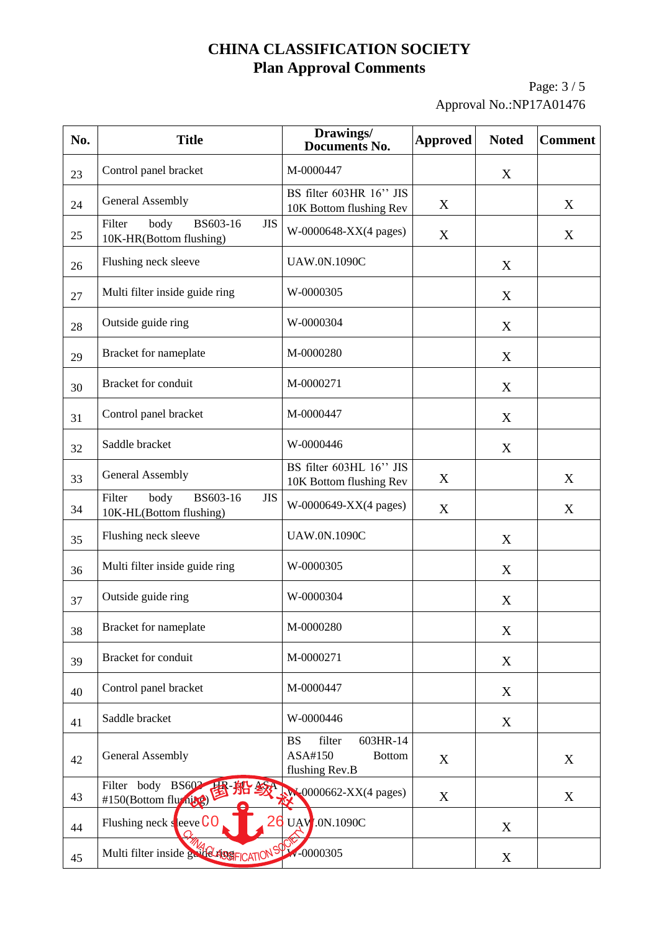Page: 3 / 5 Approval No.:NP17A01476

| No. | <b>Title</b>                                                        | Drawings/<br><b>Documents No.</b>                                             | <b>Approved</b> | <b>Noted</b> | <b>Comment</b> |
|-----|---------------------------------------------------------------------|-------------------------------------------------------------------------------|-----------------|--------------|----------------|
| 23  | Control panel bracket                                               | M-0000447                                                                     |                 | X            |                |
| 24  | <b>General Assembly</b>                                             | BS filter 603HR 16" JIS<br>10K Bottom flushing Rev                            | X               |              | X              |
| 25  | Filter<br>body<br>BS603-16<br><b>JIS</b><br>10K-HR(Bottom flushing) | W-0000648-XX(4 pages)                                                         | X               |              | X              |
| 26  | Flushing neck sleeve                                                | <b>UAW.0N.1090C</b>                                                           |                 | X            |                |
| 27  | Multi filter inside guide ring                                      | W-0000305                                                                     |                 | X            |                |
| 28  | Outside guide ring                                                  | W-0000304                                                                     |                 | X            |                |
| 29  | Bracket for nameplate                                               | M-0000280                                                                     |                 | X            |                |
| 30  | <b>Bracket</b> for conduit                                          | M-0000271                                                                     |                 | X            |                |
| 31  | Control panel bracket                                               | M-0000447                                                                     |                 | X            |                |
| 32  | Saddle bracket                                                      | W-0000446                                                                     |                 | X            |                |
| 33  | <b>General Assembly</b>                                             | BS filter 603HL 16" JIS<br>10K Bottom flushing Rev                            | X               |              | X              |
| 34  | Filter<br>BS603-16<br>body<br><b>JIS</b><br>10K-HL(Bottom flushing) | W-0000649-XX(4 pages)                                                         | X               |              | X              |
| 35  | Flushing neck sleeve                                                | <b>UAW.0N.1090C</b>                                                           |                 | X            |                |
| 36  | Multi filter inside guide ring                                      | W-0000305                                                                     |                 | X            |                |
| 37  | Outside guide ring                                                  | W-0000304                                                                     |                 | X            |                |
| 38  | Bracket for nameplate                                               | M-0000280                                                                     |                 | X            |                |
| 39  | <b>Bracket</b> for conduit                                          | M-0000271                                                                     |                 | X            |                |
| 40  | Control panel bracket                                               | M-0000447                                                                     |                 | X            |                |
| 41  | Saddle bracket                                                      | W-0000446                                                                     |                 | X            |                |
| 42  | <b>General Assembly</b>                                             | filter<br>603HR-14<br><b>BS</b><br>ASA#150<br><b>Bottom</b><br>flushing Rev.B | X               |              | X              |
| 43  | Filter body BS602<br>思 船 绞<br>#150(Bottom fluming)                  | $W(0000662-XX(4 pages))$                                                      | X               |              | X              |
| 44  | Flushing neck sleeve $CO$                                           | <b>UAV.0N.1090C</b>                                                           |                 | X            |                |
| 45  | Multi filter inside guide ASSE CATION SY W-0000305                  |                                                                               |                 | X            |                |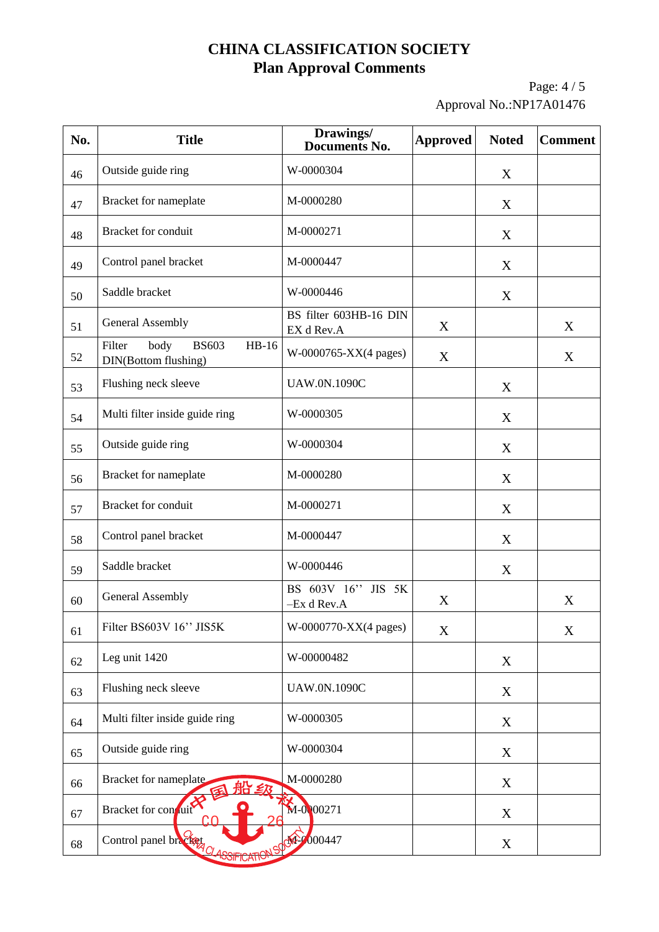Page: 4 / 5 Approval No.:NP17A01476

| No. | <b>Title</b>                                                      | Drawings/<br><b>Documents No.</b>    | <b>Approved</b> | <b>Noted</b> | <b>Comment</b> |
|-----|-------------------------------------------------------------------|--------------------------------------|-----------------|--------------|----------------|
| 46  | Outside guide ring                                                | W-0000304                            |                 | X            |                |
| 47  | Bracket for nameplate                                             | M-0000280                            |                 | X            |                |
| 48  | <b>Bracket</b> for conduit                                        | M-0000271                            |                 | X            |                |
| 49  | Control panel bracket                                             | M-0000447                            |                 | X            |                |
| 50  | Saddle bracket                                                    | W-0000446                            |                 | X            |                |
| 51  | <b>General Assembly</b>                                           | BS filter 603HB-16 DIN<br>EX d Rev.A | X               |              | X              |
| 52  | body<br><b>BS603</b><br>Filter<br>$HB-16$<br>DIN(Bottom flushing) | W-0000765-XX(4 pages)                | X               |              | X              |
| 53  | Flushing neck sleeve                                              | <b>UAW.0N.1090C</b>                  |                 | X            |                |
| 54  | Multi filter inside guide ring                                    | W-0000305                            |                 | X            |                |
| 55  | Outside guide ring                                                | W-0000304                            |                 | X            |                |
| 56  | Bracket for nameplate                                             | M-0000280                            |                 | X            |                |
| 57  | <b>Bracket</b> for conduit                                        | M-0000271                            |                 | X            |                |
| 58  | Control panel bracket                                             | M-0000447                            |                 | X            |                |
| 59  | Saddle bracket                                                    | W-0000446                            |                 | X            |                |
| 60  | <b>General Assembly</b>                                           | BS 603V 16"<br>JIS 5K<br>-Ex d Rev.A | X               |              | X              |
| 61  | Filter BS603V 16" JIS5K                                           | W-0000770-XX(4 pages)                | X               |              | X              |
| 62  | Leg unit 1420                                                     | W-00000482                           |                 | X            |                |
| 63  | Flushing neck sleeve                                              | <b>UAW.0N.1090C</b>                  |                 | X            |                |
| 64  | Multi filter inside guide ring                                    | W-0000305                            |                 | X            |                |
| 65  | Outside guide ring                                                | W-0000304                            |                 | X            |                |
| 66  | Bracket for nameplate<br>□ ≦乃                                     | M-0000280                            |                 | X            |                |
| 67  | Bracket for conduit                                               | $M - 0.000271$                       |                 | X            |                |
| 68  | Control panel bracket<br><u>PODIFICA</u>                          | 4000447                              |                 | X            |                |